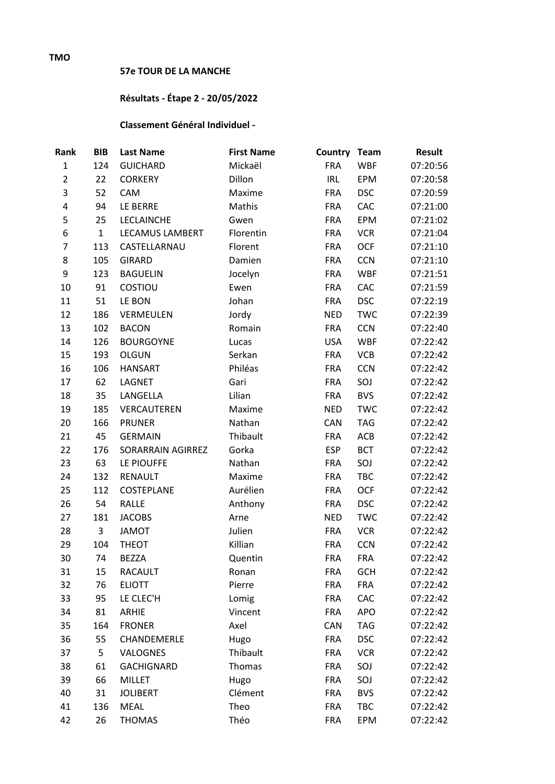## **57e TOUR DE LA MANCHE**

## **Résultats - Étape 2 - 20/05/2022**

## **Classement Général Individuel -**

| Rank           | <b>BIB</b>   | <b>Last Name</b>       | <b>First Name</b> | Country Team |            | <b>Result</b> |
|----------------|--------------|------------------------|-------------------|--------------|------------|---------------|
| $\mathbf 1$    | 124          | <b>GUICHARD</b>        | Mickaël           | <b>FRA</b>   | <b>WBF</b> | 07:20:56      |
| $\overline{2}$ | 22           | <b>CORKERY</b>         | Dillon            | <b>IRL</b>   | EPM        | 07:20:58      |
| 3              | 52           | CAM                    | Maxime            | <b>FRA</b>   | <b>DSC</b> | 07:20:59      |
| 4              | 94           | LE BERRE               | Mathis            | <b>FRA</b>   | CAC        | 07:21:00      |
| 5              | 25           | <b>LECLAINCHE</b>      | Gwen              | <b>FRA</b>   | EPM        | 07:21:02      |
| 6              | $\mathbf{1}$ | <b>LECAMUS LAMBERT</b> | Florentin         | <b>FRA</b>   | <b>VCR</b> | 07:21:04      |
| $\overline{7}$ | 113          | CASTELLARNAU           | Florent           | <b>FRA</b>   | <b>OCF</b> | 07:21:10      |
| 8              | 105          | <b>GIRARD</b>          | Damien            | <b>FRA</b>   | <b>CCN</b> | 07:21:10      |
| 9              | 123          | <b>BAGUELIN</b>        | Jocelyn           | <b>FRA</b>   | <b>WBF</b> | 07:21:51      |
| 10             | 91           | COSTIOU                | Ewen              | <b>FRA</b>   | CAC        | 07:21:59      |
| 11             | 51           | LE BON                 | Johan             | <b>FRA</b>   | <b>DSC</b> | 07:22:19      |
| 12             | 186          | VERMEULEN              | Jordy             | <b>NED</b>   | <b>TWC</b> | 07:22:39      |
| 13             | 102          | <b>BACON</b>           | Romain            | <b>FRA</b>   | <b>CCN</b> | 07:22:40      |
| 14             | 126          | <b>BOURGOYNE</b>       | Lucas             | <b>USA</b>   | <b>WBF</b> | 07:22:42      |
| 15             | 193          | <b>OLGUN</b>           | Serkan            | <b>FRA</b>   | VCB        | 07:22:42      |
| 16             | 106          | <b>HANSART</b>         | Philéas           | <b>FRA</b>   | <b>CCN</b> | 07:22:42      |
| 17             | 62           | LAGNET                 | Gari              | <b>FRA</b>   | SOJ        | 07:22:42      |
| 18             | 35           | LANGELLA               | Lilian            | <b>FRA</b>   | <b>BVS</b> | 07:22:42      |
| 19             | 185          | VERCAUTEREN            | Maxime            | <b>NED</b>   | <b>TWC</b> | 07:22:42      |
| 20             | 166          | <b>PRUNER</b>          | Nathan            | <b>CAN</b>   | <b>TAG</b> | 07:22:42      |
| 21             | 45           | <b>GERMAIN</b>         | Thibault          | <b>FRA</b>   | ACB        | 07:22:42      |
| 22             | 176          | SORARRAIN AGIRREZ      | Gorka             | <b>ESP</b>   | <b>BCT</b> | 07:22:42      |
| 23             | 63           | LE PIOUFFE             | Nathan            | <b>FRA</b>   | SOJ        | 07:22:42      |
| 24             | 132          | <b>RENAULT</b>         | Maxime            | <b>FRA</b>   | TBC        | 07:22:42      |
| 25             | 112          | COSTEPLANE             | Aurélien          | <b>FRA</b>   | <b>OCF</b> | 07:22:42      |
| 26             | 54           | RALLE                  | Anthony           | <b>FRA</b>   | <b>DSC</b> | 07:22:42      |
| 27             | 181          | <b>JACOBS</b>          | Arne              | <b>NED</b>   | <b>TWC</b> | 07:22:42      |
| 28             | 3            | <b>JAMOT</b>           | Julien            | <b>FRA</b>   | <b>VCR</b> | 07:22:42      |
| 29             | 104          | <b>THEOT</b>           | Killian           | <b>FRA</b>   | <b>CCN</b> | 07:22:42      |
| 30             | 74           | <b>BEZZA</b>           | Quentin           | <b>FRA</b>   | <b>FRA</b> | 07:22:42      |
| 31             | 15           | <b>RACAULT</b>         | Ronan             | <b>FRA</b>   | <b>GCH</b> | 07:22:42      |
| 32             | 76           | <b>ELIOTT</b>          | Pierre            | <b>FRA</b>   | <b>FRA</b> | 07:22:42      |
| 33             | 95           | LE CLEC'H              | Lomig             | <b>FRA</b>   | <b>CAC</b> | 07:22:42      |
| 34             | 81           | <b>ARHIE</b>           | Vincent           | <b>FRA</b>   | <b>APO</b> | 07:22:42      |
| 35             | 164          | <b>FRONER</b>          | Axel              | <b>CAN</b>   | <b>TAG</b> | 07:22:42      |
| 36             | 55           | CHANDEMERLE            | Hugo              | <b>FRA</b>   | <b>DSC</b> | 07:22:42      |
| 37             | 5            | VALOGNES               | Thibault          | <b>FRA</b>   | <b>VCR</b> | 07:22:42      |
| 38             | 61           | <b>GACHIGNARD</b>      | Thomas            | <b>FRA</b>   | SOJ        | 07:22:42      |
| 39             | 66           | <b>MILLET</b>          | Hugo              | <b>FRA</b>   | SOJ        | 07:22:42      |
| 40             | 31           | <b>JOLIBERT</b>        | Clément           | <b>FRA</b>   | <b>BVS</b> | 07:22:42      |
| 41             | 136          | <b>MEAL</b>            | Theo              | <b>FRA</b>   | TBC        | 07:22:42      |
| 42             | 26           | <b>THOMAS</b>          | Théo              | <b>FRA</b>   | EPM        | 07:22:42      |

**TMO**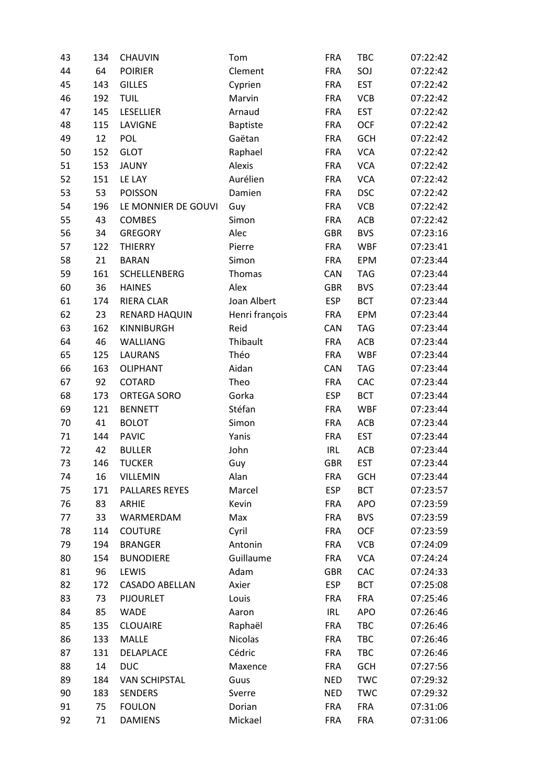| 43 | 134 | CHAUVIN               | Tom             | <b>FRA</b> | <b>TBC</b> | 07:22:42 |
|----|-----|-----------------------|-----------------|------------|------------|----------|
| 44 | 64  | <b>POIRIER</b>        | Clement         | <b>FRA</b> | SOJ        | 07:22:42 |
| 45 | 143 | <b>GILLES</b>         | Cyprien         | <b>FRA</b> | <b>EST</b> | 07:22:42 |
| 46 | 192 | <b>TUIL</b>           | Marvin          | <b>FRA</b> | VCB        | 07:22:42 |
| 47 | 145 | LESELLIER             | Arnaud          | <b>FRA</b> | <b>EST</b> | 07:22:42 |
| 48 | 115 | LAVIGNE               | <b>Baptiste</b> | <b>FRA</b> | <b>OCF</b> | 07:22:42 |
| 49 | 12  | <b>POL</b>            | Gaëtan          | <b>FRA</b> | <b>GCH</b> | 07:22:42 |
| 50 | 152 | <b>GLOT</b>           | Raphael         | <b>FRA</b> | <b>VCA</b> | 07:22:42 |
| 51 | 153 | <b>JAUNY</b>          | Alexis          | <b>FRA</b> | <b>VCA</b> | 07:22:42 |
| 52 | 151 | LE LAY                | Aurélien        | <b>FRA</b> | <b>VCA</b> | 07:22:42 |
| 53 | 53  | <b>POISSON</b>        | Damien          | <b>FRA</b> | <b>DSC</b> | 07:22:42 |
| 54 | 196 | LE MONNIER DE GOUVI   | Guy             | <b>FRA</b> | VCB        | 07:22:42 |
| 55 | 43  | <b>COMBES</b>         | Simon           | <b>FRA</b> | ACB        | 07:22:42 |
| 56 | 34  | <b>GREGORY</b>        | Alec            | <b>GBR</b> | <b>BVS</b> | 07:23:16 |
| 57 | 122 | <b>THIERRY</b>        | Pierre          | <b>FRA</b> | <b>WBF</b> | 07:23:41 |
| 58 | 21  | <b>BARAN</b>          | Simon           | <b>FRA</b> | <b>EPM</b> | 07:23:44 |
| 59 | 161 | SCHELLENBERG          | Thomas          | CAN        | <b>TAG</b> | 07:23:44 |
| 60 | 36  | <b>HAINES</b>         | Alex            | <b>GBR</b> | <b>BVS</b> | 07:23:44 |
| 61 | 174 | <b>RIERA CLAR</b>     | Joan Albert     | <b>ESP</b> | <b>BCT</b> | 07:23:44 |
| 62 | 23  | <b>RENARD HAQUIN</b>  | Henri françois  | <b>FRA</b> | EPM        | 07:23:44 |
| 63 | 162 | KINNIBURGH            | Reid            | <b>CAN</b> | <b>TAG</b> | 07:23:44 |
| 64 | 46  | WALLIANG              | Thibault        | <b>FRA</b> | ACB        | 07:23:44 |
| 65 | 125 | <b>LAURANS</b>        | Théo            | <b>FRA</b> | <b>WBF</b> | 07:23:44 |
| 66 | 163 | <b>OLIPHANT</b>       | Aidan           | CAN        | <b>TAG</b> | 07:23:44 |
| 67 | 92  | <b>COTARD</b>         | Theo            | <b>FRA</b> | CAC        | 07:23:44 |
| 68 | 173 | ORTEGA SORO           | Gorka           | <b>ESP</b> | <b>BCT</b> | 07:23:44 |
| 69 | 121 | <b>BENNETT</b>        | Stéfan          | <b>FRA</b> | <b>WBF</b> | 07:23:44 |
| 70 | 41  | <b>BOLOT</b>          | Simon           | <b>FRA</b> | ACB        | 07:23:44 |
| 71 | 144 | <b>PAVIC</b>          | Yanis           | <b>FRA</b> | <b>EST</b> | 07:23:44 |
| 72 | 42  | <b>BULLER</b>         | John            | <b>IRL</b> | ACB        | 07:23:44 |
| 73 | 146 | <b>TUCKER</b>         | Guy             | <b>GBR</b> | <b>EST</b> | 07:23:44 |
| 74 | 16  | <b>VILLEMIN</b>       | Alan            | <b>FRA</b> | <b>GCH</b> | 07:23:44 |
| 75 | 171 | PALLARES REYES        | Marcel          | <b>ESP</b> | <b>BCT</b> | 07:23:57 |
| 76 | 83  | <b>ARHIE</b>          | Kevin           | <b>FRA</b> | <b>APO</b> | 07:23:59 |
| 77 | 33  | WARMERDAM             | Max             | <b>FRA</b> | <b>BVS</b> | 07:23:59 |
| 78 | 114 | <b>COUTURE</b>        | Cyril           | <b>FRA</b> | <b>OCF</b> | 07:23:59 |
| 79 | 194 | <b>BRANGER</b>        | Antonin         | <b>FRA</b> | <b>VCB</b> | 07:24:09 |
| 80 | 154 | <b>BUNODIERE</b>      | Guillaume       | <b>FRA</b> | <b>VCA</b> | 07:24:24 |
| 81 | 96  | LEWIS                 | Adam            | <b>GBR</b> | CAC        | 07:24:33 |
| 82 | 172 | <b>CASADO ABELLAN</b> | Axier           | <b>ESP</b> | <b>BCT</b> | 07:25:08 |
| 83 | 73  | <b>PIJOURLET</b>      | Louis           | <b>FRA</b> | <b>FRA</b> | 07:25:46 |
| 84 | 85  | <b>WADE</b>           | Aaron           | <b>IRL</b> | <b>APO</b> | 07:26:46 |
| 85 | 135 | <b>CLOUAIRE</b>       | Raphaël         | <b>FRA</b> | TBC        | 07:26:46 |
| 86 | 133 | <b>MALLE</b>          | Nicolas         | <b>FRA</b> | TBC        | 07:26:46 |
| 87 | 131 | DELAPLACE             | Cédric          | <b>FRA</b> | TBC        | 07:26:46 |
| 88 | 14  | <b>DUC</b>            | Maxence         | <b>FRA</b> | <b>GCH</b> | 07:27:56 |
| 89 | 184 | <b>VAN SCHIPSTAL</b>  | Guus            | <b>NED</b> | <b>TWC</b> | 07:29:32 |
| 90 | 183 | <b>SENDERS</b>        | Sverre          | <b>NED</b> | <b>TWC</b> | 07:29:32 |
| 91 | 75  | <b>FOULON</b>         | Dorian          | <b>FRA</b> | <b>FRA</b> | 07:31:06 |
| 92 | 71  | <b>DAMIENS</b>        | Mickael         | <b>FRA</b> | <b>FRA</b> | 07:31:06 |
|    |     |                       |                 |            |            |          |